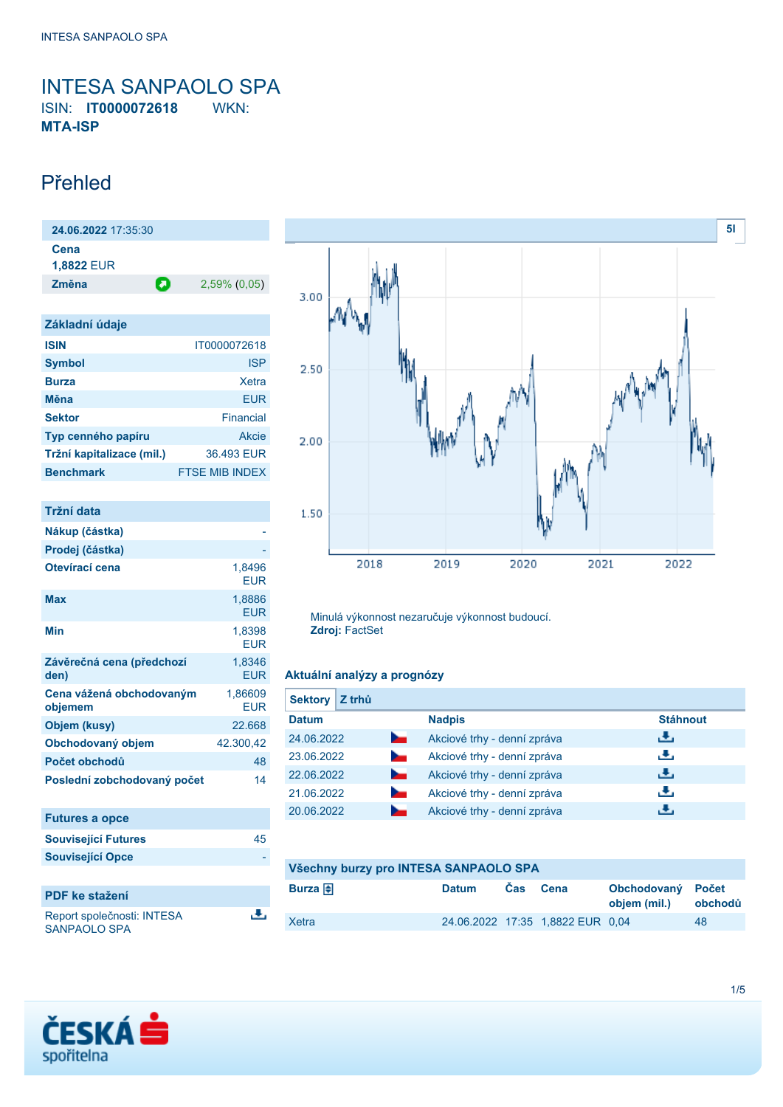<span id="page-0-0"></span>INTESA SANPAOLO SPA ISIN: **IT0000072618** WKN: **MTA-ISP**

### Přehled

**24.06.2022** 17:35:30 **Cena 1,8822** EUR **Změna** 2,59% (0,05)

| Základní údaje            |                       |
|---------------------------|-----------------------|
| <b>ISIN</b>               | IT0000072618          |
| <b>Symbol</b>             | <b>ISP</b>            |
| <b>Burza</b>              | Xetra                 |
| Měna                      | EUR                   |
| <b>Sektor</b>             | Financial             |
| Typ cenného papíru        | Akcie                 |
| Tržní kapitalizace (mil.) | 36.493 EUR            |
| <b>Benchmark</b>          | <b>FTSE MIB INDEX</b> |

| <b>Tržní data</b>                   |                       |
|-------------------------------------|-----------------------|
| Nákup (částka)                      |                       |
| Prodej (částka)                     |                       |
| Otevírací cena                      | 1.8496<br><b>EUR</b>  |
| <b>Max</b>                          | 1,8886<br><b>EUR</b>  |
| Min                                 | 1,8398<br><b>EUR</b>  |
| Závěrečná cena (předchozí<br>den)   | 1.8346<br><b>EUR</b>  |
| Cena vážená obchodovaným<br>objemem | 1,86609<br><b>EUR</b> |
| Objem (kusy)                        | 22.668                |
| Obchodovaný objem                   | 42.300,42             |
| Počet obchodů                       | 48                    |
| Poslední zobchodovaný počet         | 14                    |
| <b>Futures a opce</b>               |                       |
| <b>Související Futures</b>          | 45                    |
| <b>Související Opce</b>             |                       |

| <b>PDF</b> ke stažení                             |  |
|---------------------------------------------------|--|
| Report společnosti: INTESA<br><b>SANPAOLO SPA</b> |  |



Minulá výkonnost nezaručuje výkonnost budoucí. **Zdroj:** FactSet

### **Aktuální analýzy a prognózy**

| Z trhů<br><b>Sektory</b>     |                             |                 |
|------------------------------|-----------------------------|-----------------|
| <b>Datum</b>                 | <b>Nadpis</b>               | <b>Stáhnout</b> |
| 24.06.2022<br><b>Service</b> | Akciové trhy - denní zpráva | ريل             |
| 23.06.2022<br>$\sim$         | Akciové trhy - denní zpráva | رنان            |
| 22.06.2022<br><b>Service</b> | Akciové trhy - denní zpráva | رنان            |
| 21.06.2022<br>$\sim$         | Akciové trhy - denní zpráva | رنان            |
| 20.06.2022                   | Akciové trhy - denní zpráva | æ,              |

| Všechny burzy pro INTESA SANPAOLO SPA |              |     |                                  |                                   |         |
|---------------------------------------|--------------|-----|----------------------------------|-----------------------------------|---------|
| Burza $\bigoplus$                     | <b>Datum</b> | Cas | Cena                             | Obchodovaný Počet<br>objem (mil.) | obchodů |
| Xetra                                 |              |     | 24.06.2022 17:35 1,8822 EUR 0,04 |                                   | 48      |

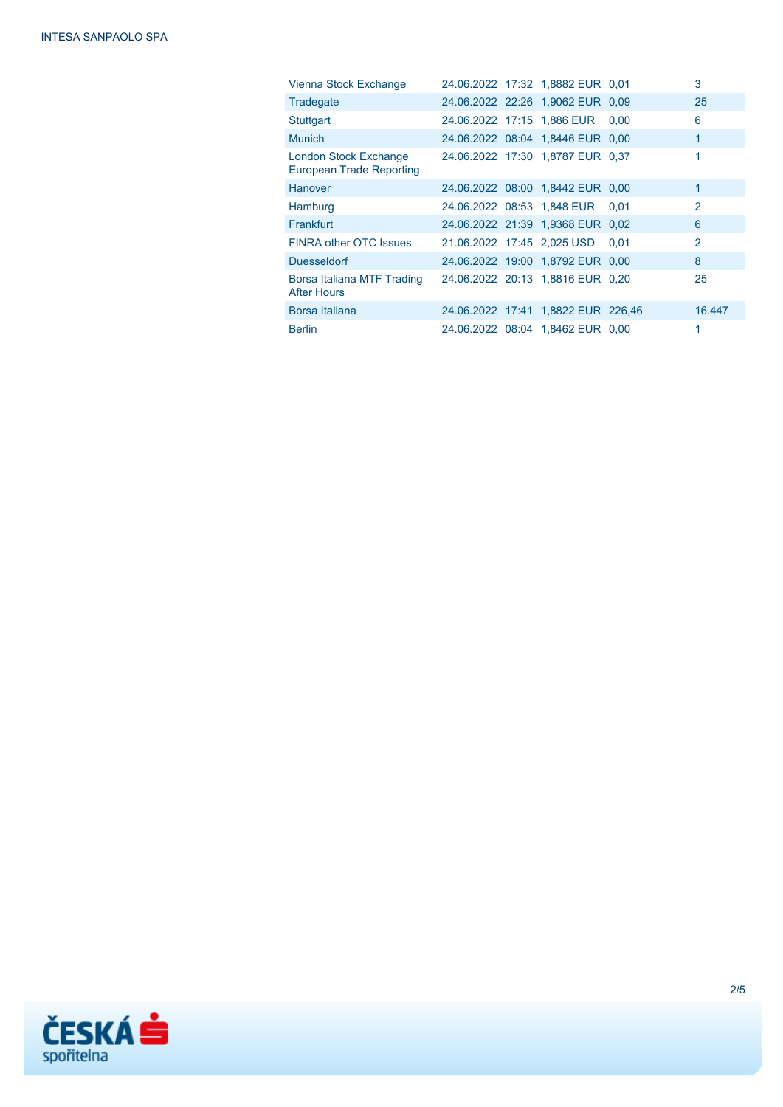| Vienna Stock Exchange                                    |  | 24.06.2022 17:32 1,8882 EUR 0,01   |      | 3              |
|----------------------------------------------------------|--|------------------------------------|------|----------------|
| Tradegate                                                |  | 24.06.2022 22:26 1,9062 EUR 0.09   |      | 25             |
| Stuttgart                                                |  | 24.06.2022 17:15 1,886 EUR         | 0.00 | 6              |
| <b>Munich</b>                                            |  | 24.06.2022 08:04 1.8446 EUR 0.00   |      | $\mathbf{1}$   |
| London Stock Exchange<br><b>European Trade Reporting</b> |  | 24.06.2022 17:30 1,8787 EUR 0,37   |      | 1              |
| Hanover                                                  |  | 24.06.2022 08:00 1,8442 EUR 0,00   |      | $\mathbf{1}$   |
| Hamburg                                                  |  | 24.06.2022 08:53 1,848 EUR         | 0.01 | $\mathcal{P}$  |
| Frankfurt                                                |  | 24.06.2022 21:39 1,9368 EUR 0,02   |      | 6              |
| <b>FINRA other OTC Issues</b>                            |  | 21.06.2022 17:45 2,025 USD         | 0.01 | $\overline{2}$ |
| <b>Duesseldorf</b>                                       |  | 24.06.2022 19:00 1,8792 EUR 0,00   |      | 8              |
| Borsa Italiana MTF Trading<br><b>After Hours</b>         |  | 24.06.2022 20:13 1.8816 EUR 0.20   |      | 25             |
| Borsa Italiana                                           |  | 24.06.2022 17:41 1,8822 EUR 226,46 |      | 16.447         |
| <b>Berlin</b>                                            |  | 24.06.2022 08:04 1,8462 EUR 0,00   |      | 1              |

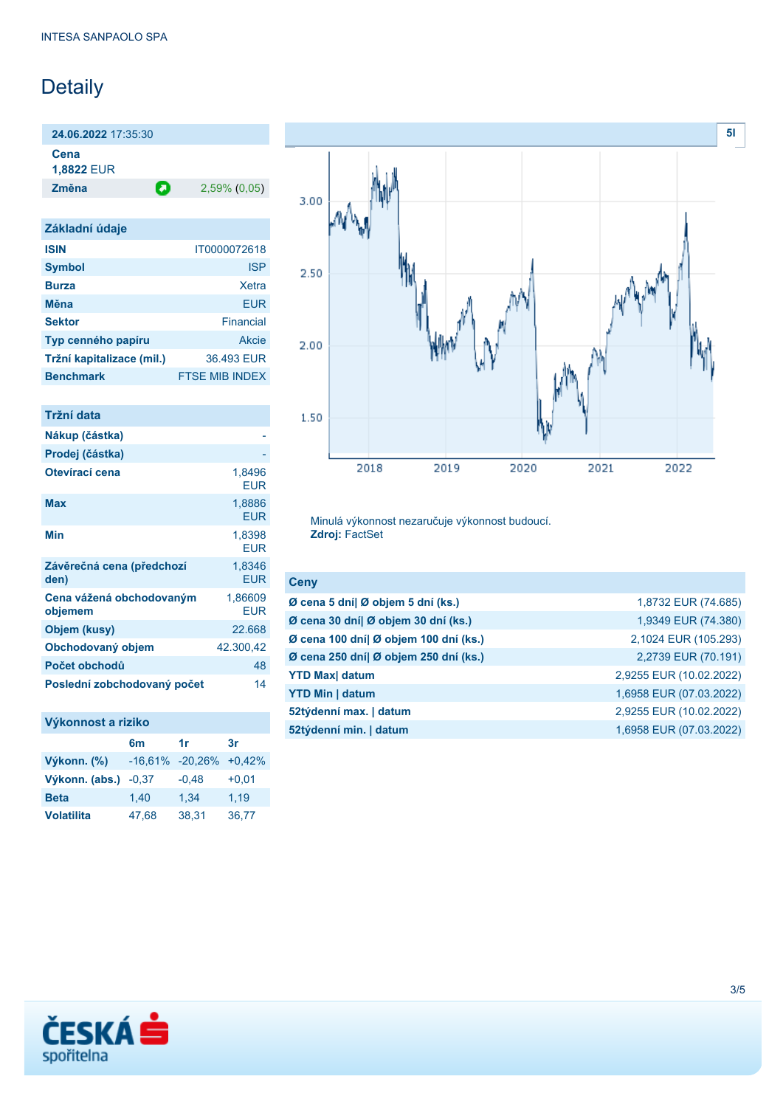# Detaily

**24.06.2022** 17:35:30

**Cena**

**1,8822** EUR

**Změna** 2,59% (0,05)

| Základní údaje            |                       |
|---------------------------|-----------------------|
| <b>ISIN</b>               | IT0000072618          |
| <b>Symbol</b>             | <b>ISP</b>            |
| <b>Burza</b>              | Xetra                 |
| Měna                      | EUR                   |
| <b>Sektor</b>             | Financial             |
| Typ cenného papíru        | Akcie                 |
| Tržní kapitalizace (mil.) | 36.493 EUR            |
| <b>Benchmark</b>          | <b>FTSE MIB INDEX</b> |

| 1,8496<br><b>EUR</b>  |
|-----------------------|
| 1,8886<br><b>EUR</b>  |
| 1,8398<br><b>EUR</b>  |
| 1,8346<br><b>EUR</b>  |
| 1,86609<br><b>EUR</b> |
| 22.668                |
| 42.300,42             |
| 48                    |
| 14                    |
|                       |



| Výkonn. (%)       |         | $-16,61\% -20,26\%$ | $+0.42%$ |
|-------------------|---------|---------------------|----------|
| Výkonn. (abs.)    | $-0.37$ | $-0,48$             | $+0,01$  |
| <b>Beta</b>       | 1.40    | 1.34                | 1.19     |
| <b>Volatilita</b> | 47.68   | 38.31               | 36,77    |
|                   |         |                     |          |



Minulá výkonnost nezaručuje výkonnost budoucí. **Zdroj:** FactSet

| <b>Ceny</b>                           |                         |
|---------------------------------------|-------------------------|
| Ø cena 5 dní  Ø objem 5 dní (ks.)     | 1,8732 EUR (74.685)     |
| Ø cena 30 dní  Ø objem 30 dní (ks.)   | 1,9349 EUR (74.380)     |
| Ø cena 100 dní  Ø objem 100 dní (ks.) | 2,1024 EUR (105.293)    |
| Ø cena 250 dní  Ø objem 250 dní (ks.) | 2,2739 EUR (70.191)     |
| <b>YTD Max  datum</b>                 | 2,9255 EUR (10.02.2022) |
| <b>YTD Min   datum</b>                | 1,6958 EUR (07.03.2022) |
| 52týdenní max.   datum                | 2,9255 EUR (10.02.2022) |
| 52týdenní min.   datum                | 1,6958 EUR (07.03.2022) |

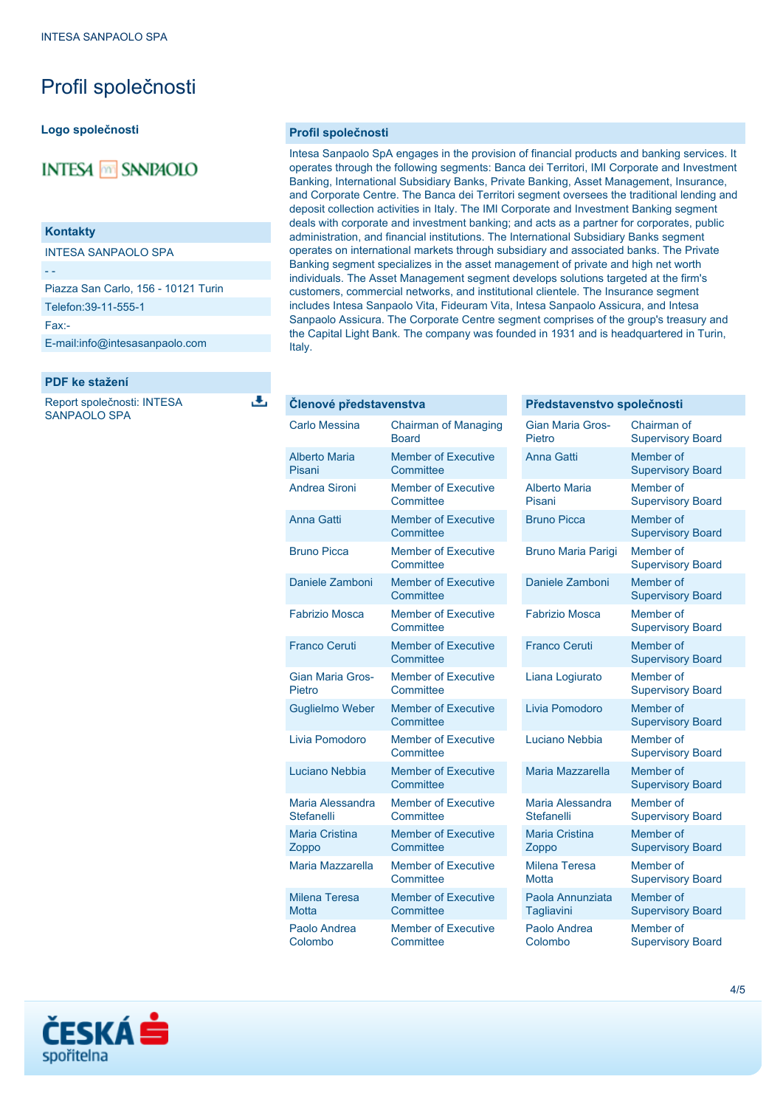## Profil společnosti

#### **Logo společnosti**

### **INTESA M SANPAOLO**

#### **Kontakty**

INTESA SANPAOLO SPA

Piazza San Carlo, 156 - 10121 Turin

Telefon:39-11-555-1

Fax:-

- -

[E-mail:info@intesasanpaolo.com](mailto:info@intesasanpaolo.com)

#### **PDF ke stažení**

Report společnosti: INTESA SANPAOLO SPA

Δ

#### **Profil společnosti**

Intesa Sanpaolo SpA engages in the provision of financial products and banking services. It operates through the following segments: Banca dei Territori, IMI Corporate and Investment Banking, International Subsidiary Banks, Private Banking, Asset Management, Insurance, and Corporate Centre. The Banca dei Territori segment oversees the traditional lending and deposit collection activities in Italy. The IMI Corporate and Investment Banking segment deals with corporate and investment banking; and acts as a partner for corporates, public administration, and financial institutions. The International Subsidiary Banks segment operates on international markets through subsidiary and associated banks. The Private Banking segment specializes in the asset management of private and high net worth individuals. The Asset Management segment develops solutions targeted at the firm's customers, commercial networks, and institutional clientele. The Insurance segment includes Intesa Sanpaolo Vita, Fideuram Vita, Intesa Sanpaolo Assicura, and Intesa Sanpaolo Assicura. The Corporate Centre segment comprises of the group's treasury and the Capital Light Bank. The company was founded in 1931 and is headquartered in Turin, Italy.

#### **Členové představenstva**

| <b>Carlo Messina</b>                  | <b>Chairman of Managing</b><br>Board    |
|---------------------------------------|-----------------------------------------|
| <b>Alberto Maria</b><br>Pisani        | <b>Member of Executive</b><br>Committee |
| <b>Andrea Sironi</b>                  | <b>Member of Executive</b><br>Committee |
| Anna Gatti                            | <b>Member of Executive</b><br>Committee |
| <b>Bruno Picca</b>                    | <b>Member of Executive</b><br>Committee |
| Daniele Zamboni                       | <b>Member of Executive</b><br>Committee |
| Fabrizio Mosca                        | <b>Member of Executive</b><br>Committee |
| <b>Franco Ceruti</b>                  | <b>Member of Executive</b><br>Committee |
| <b>Gian Maria Gros-</b><br>Pietro     | <b>Member of Executive</b><br>Committee |
| <b>Guglielmo Weber</b>                | <b>Member of Executive</b><br>Committee |
| Livia Pomodoro                        | <b>Member of Executive</b><br>Committee |
| Luciano Nebbia                        | <b>Member of Executive</b><br>Committee |
| Maria Alessandra<br><b>Stefanelli</b> | <b>Member of Executive</b><br>Committee |
| <b>Maria Cristina</b><br>Zoppo        | <b>Member of Executive</b><br>Committee |
| Maria Mazzarella                      | <b>Member of Executive</b><br>Committee |
| <b>Milena Teresa</b><br><b>Motta</b>  | <b>Member of Executive</b><br>Committee |
| Paolo Andrea<br>Colombo               | <b>Member of Executive</b><br>Committee |

#### **Představenstvo společnosti** Gian Maria Gros-Pietro Chairman of Supervisory Board Anna Gatti Member of Supervisory Board Alberto Maria Pisani Member of Supervisory Board Bruno Picca Member of Supervisory Board Bruno Maria Parigi Member of Supervisory Board Daniele Zamboni Member of Supervisory Board Fabrizio Mosca Member of Supervisory Board Franco Ceruti Member of Supervisory Board Liana Logiurato Member of Supervisory Board Livia Pomodoro Member of Supervisory Board Luciano Nebbia Member of Supervisory Board Maria Mazzarella Member of Supervisory Board Maria Alessandra **Stefanelli** Member of Supervisory Board Maria Cristina Zoppo Member of Supervisory Board Milena Teresa **Motta** Member of Supervisory Board Paola Annunziata **Tagliavini** Member of Supervisory Board Paolo Andrea Colombo Member of Supervisory Board